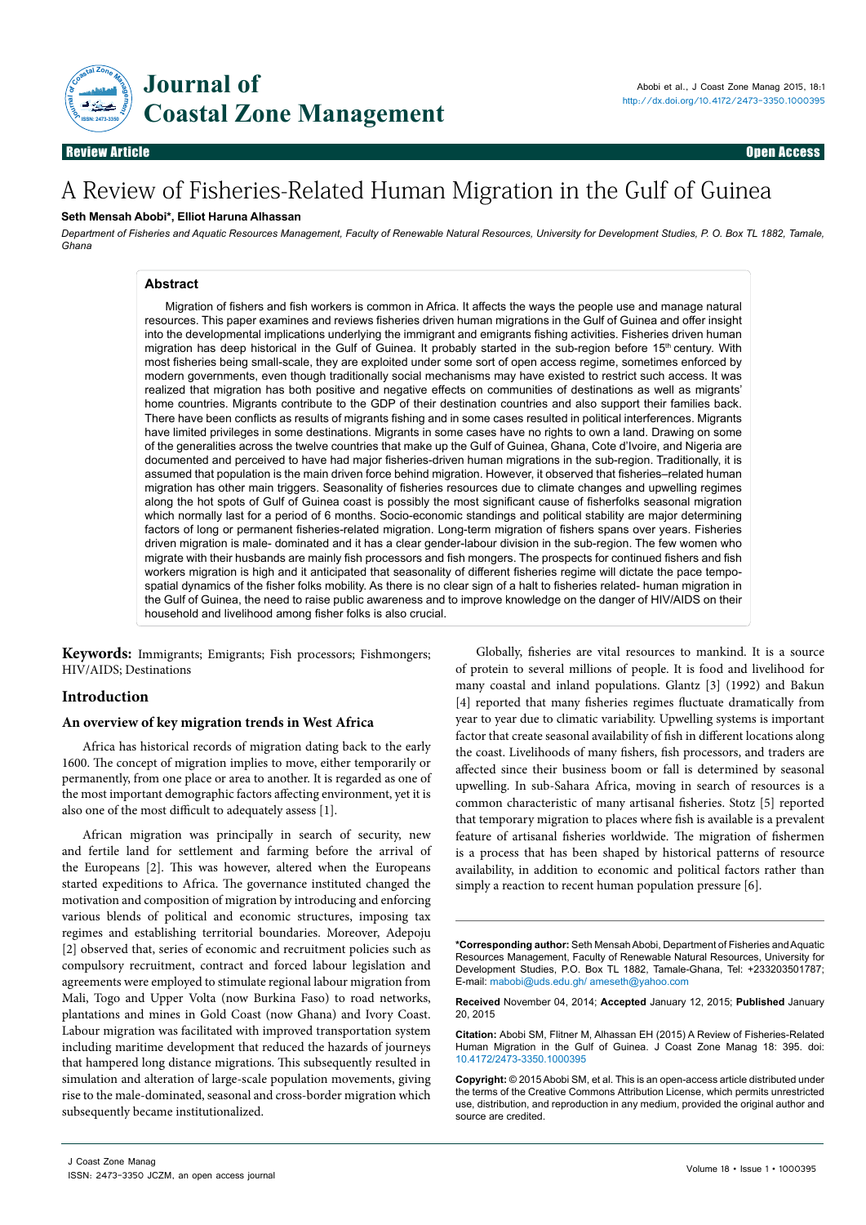

# A Review of Fisheries-Related Human Migration in the Gulf of Guinea

#### **Seth Mensah Abobi\*, Elliot Haruna Alhassan**

*Department of Fisheries and Aquatic Resources Management, Faculty of Renewable Natural Resources, University for Development Studies, P. O. Box TL 1882, Tamale, Ghana*

#### **Abstract**

Migration of fishers and fish workers is common in Africa. It affects the ways the people use and manage natural resources. This paper examines and reviews fisheries driven human migrations in the Gulf of Guinea and offer insight into the developmental implications underlying the immigrant and emigrants fishing activities. Fisheries driven human migration has deep historical in the Gulf of Guinea. It probably started in the sub-region before 15<sup>th</sup> century. With most fisheries being small-scale, they are exploited under some sort of open access regime, sometimes enforced by modern governments, even though traditionally social mechanisms may have existed to restrict such access. It was realized that migration has both positive and negative effects on communities of destinations as well as migrants' home countries. Migrants contribute to the GDP of their destination countries and also support their families back. There have been conflicts as results of migrants fishing and in some cases resulted in political interferences. Migrants have limited privileges in some destinations. Migrants in some cases have no rights to own a land. Drawing on some of the generalities across the twelve countries that make up the Gulf of Guinea, Ghana, Cote d'Ivoire, and Nigeria are documented and perceived to have had major fisheries-driven human migrations in the sub-region. Traditionally, it is assumed that population is the main driven force behind migration. However, it observed that fisheries–related human migration has other main triggers. Seasonality of fisheries resources due to climate changes and upwelling regimes along the hot spots of Gulf of Guinea coast is possibly the most significant cause of fisherfolks seasonal migration which normally last for a period of 6 months. Socio-economic standings and political stability are major determining factors of long or permanent fisheries-related migration. Long-term migration of fishers spans over years. Fisheries driven migration is male- dominated and it has a clear gender-labour division in the sub-region. The few women who migrate with their husbands are mainly fish processors and fish mongers. The prospects for continued fishers and fish workers migration is high and it anticipated that seasonality of different fisheries regime will dictate the pace tempospatial dynamics of the fisher folks mobility. As there is no clear sign of a halt to fisheries related- human migration in the Gulf of Guinea, the need to raise public awareness and to improve knowledge on the danger of HIV/AIDS on their household and livelihood among fisher folks is also crucial.

**Keywords:** Immigrants; Emigrants; Fish processors; Fishmongers; HIV/AIDS; Destinations

## **Introduction**

#### **An overview of key migration trends in West Africa**

Africa has historical records of migration dating back to the early 1600. The concept of migration implies to move, either temporarily or permanently, from one place or area to another. It is regarded as one of the most important demographic factors affecting environment, yet it is also one of the most difficult to adequately assess [1].

African migration was principally in search of security, new and fertile land for settlement and farming before the arrival of the Europeans [2]. This was however, altered when the Europeans started expeditions to Africa. The governance instituted changed the motivation and composition of migration by introducing and enforcing various blends of political and economic structures, imposing tax regimes and establishing territorial boundaries. Moreover, Adepoju [2] observed that, series of economic and recruitment policies such as compulsory recruitment, contract and forced labour legislation and agreements were employed to stimulate regional labour migration from Mali, Togo and Upper Volta (now Burkina Faso) to road networks, plantations and mines in Gold Coast (now Ghana) and Ivory Coast. Labour migration was facilitated with improved transportation system including maritime development that reduced the hazards of journeys that hampered long distance migrations. This subsequently resulted in simulation and alteration of large-scale population movements, giving rise to the male-dominated, seasonal and cross-border migration which subsequently became institutionalized.

of protein to several millions of people. It is food and livelihood for many coastal and inland populations. Glantz [3] (1992) and Bakun [4] reported that many fisheries regimes fluctuate dramatically from year to year due to climatic variability. Upwelling systems is important factor that create seasonal availability of fish in different locations along the coast. Livelihoods of many fishers, fish processors, and traders are affected since their business boom or fall is determined by seasonal upwelling. In sub-Sahara Africa, moving in search of resources is a common characteristic of many artisanal fisheries. Stotz [5] reported that temporary migration to places where fish is available is a prevalent feature of artisanal fisheries worldwide. The migration of fishermen is a process that has been shaped by historical patterns of resource availability, in addition to economic and political factors rather than simply a reaction to recent human population pressure [6].

Globally, fisheries are vital resources to mankind. It is a source

**\*Corresponding author:** Seth Mensah Abobi, Department of Fisheries and Aquatic Resources Management, Faculty of Renewable Natural Resources, University for Development Studies, P.O. Box TL 1882, Tamale-Ghana, Tel: +233203501787; E-mail: mabobi@uds.edu.gh/ ameseth@yahoo.com

**Received** November 04, 2014; **Accepted** January 12, 2015; **Published** January 20, 2015

**Citation:** Abobi SM, Flitner M, Alhassan EH (2015) A Review of Fisheries-Related Human Migration in the Gulf of Guinea. J Coast Zone Manag 18: 395. doi: [10.4172/2473-3350.100039](http://dx.doi.org/10.4172/2473-3350.1000395)5

**Copyright:** © 2015 Abobi SM, et al. This is an open-access article distributed under the terms of the Creative Commons Attribution License, which permits unrestricted use, distribution, and reproduction in any medium, provided the original author and source are credited.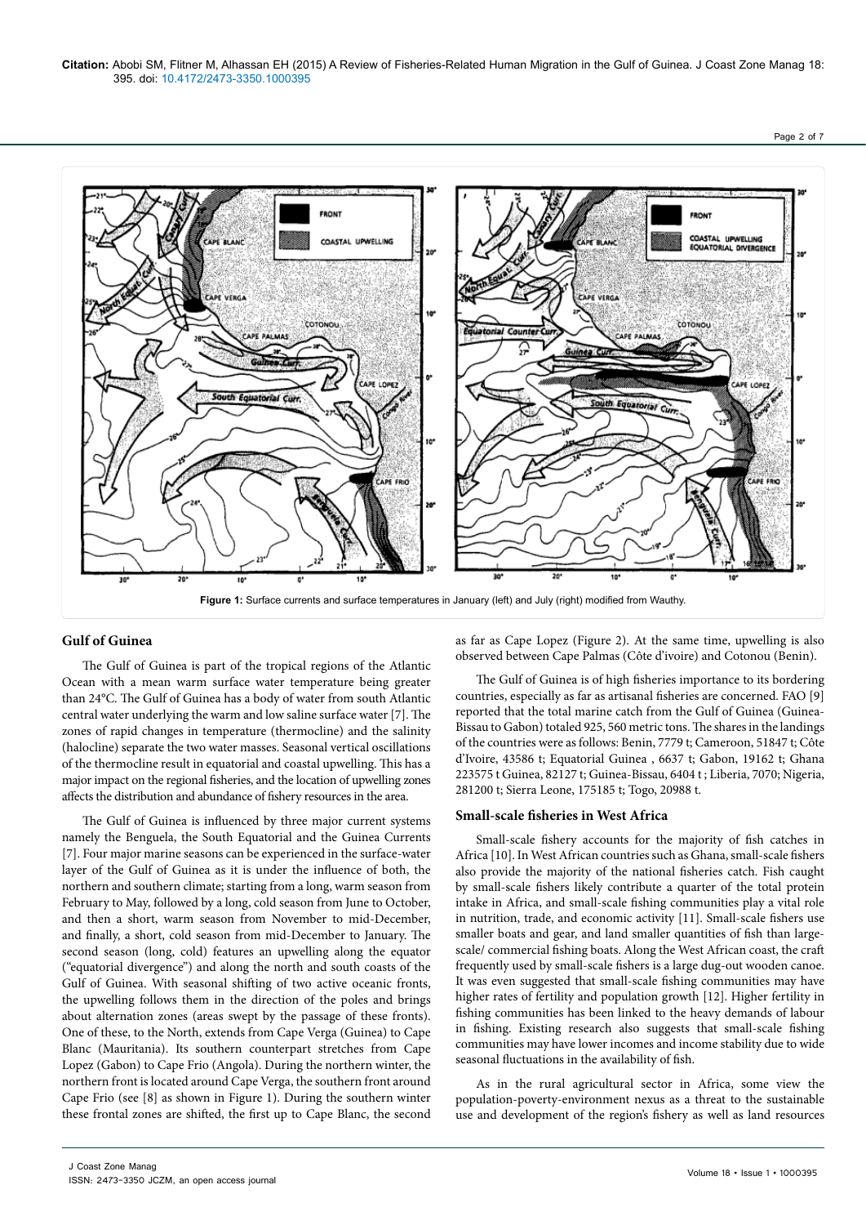**Citation:** Abobi SM, Flitner M, Alhassan EH (2015) A Review of Fisheries-Related Human Migration in the Gulf of Guinea. J Coast Zone Manag 18: 395. doi: [10.4172/2473-3350.100039](http://dx.doi.org/10.4172/2473-3350.1000395)5





## **Gulf of Guinea**

The Gulf of Guinea is part of the tropical regions of the Atlantic Ocean with a mean warm surface water temperature being greater than 24°C. The Gulf of Guinea has a body of water from south Atlantic central water underlying the warm and low saline surface water [7]. The zones of rapid changes in temperature (thermocline) and the salinity (halocline) separate the two water masses. Seasonal vertical oscillations of the thermocline result in equatorial and coastal upwelling. This has a major impact on the regional fisheries, and the location of upwelling zones affects the distribution and abundance of fishery resources in the area.

The Gulf of Guinea is influenced by three major current systems namely the Benguela, the South Equatorial and the Guinea Currents [7]. Four major marine seasons can be experienced in the surface-water layer of the Gulf of Guinea as it is under the influence of both, the northern and southern climate; starting from a long, warm season from February to May, followed by a long, cold season from June to October, and then a short, warm season from November to mid-December, and finally, a short, cold season from mid-December to January. The second season (long, cold) features an upwelling along the equator ("equatorial divergence") and along the north and south coasts of the Gulf of Guinea. With seasonal shifting of two active oceanic fronts, the upwelling follows them in the direction of the poles and brings about alternation zones (areas swept by the passage of these fronts). One of these, to the North, extends from Cape Verga (Guinea) to Cape Blanc (Mauritania). Its southern counterpart stretches from Cape Lopez (Gabon) to Cape Frio (Angola). During the northern winter, the northern front is located around Cape Verga, the southern front around Cape Frio (see [8] as shown in Figure 1). During the southern winter these frontal zones are shifted, the first up to Cape Blanc, the second

as far as Cape Lopez (Figure 2). At the same time, upwelling is also observed between Cape Palmas (Côte d'ivoire) and Cotonou (Benin).

The Gulf of Guinea is of high fisheries importance to its bordering countries, especially as far as artisanal fisheries are concerned. FAO [9] reported that the total marine catch from the Gulf of Guinea (Guinea-Bissau to Gabon) totaled 925, 560 metric tons. The shares in the landings of the countries were as follows: Benin, 7779 t; Cameroon, 51847 t; Côte d'Ivoire, 43586 t; Equatorial Guinea , 6637 t; Gabon, 19162 t; Ghana 223575 t Guinea, 82127 t; Guinea-Bissau, 6404 t ; Liberia, 7070; Nigeria, 281200 t; Sierra Leone, 175185 t; Togo, 20988 t.

## **Small-scale fisheries in West Africa**

Small-scale fishery accounts for the majority of fish catches in Africa [10]. In West African countries such as Ghana, small-scale fishers also provide the majority of the national fisheries catch. Fish caught by small-scale fishers likely contribute a quarter of the total protein intake in Africa, and small-scale fishing communities play a vital role in nutrition, trade, and economic activity [11]. Small-scale fishers use smaller boats and gear, and land smaller quantities of fish than largescale/ commercial fishing boats. Along the West African coast, the craft frequently used by small-scale fishers is a large dug-out wooden canoe. It was even suggested that small-scale fishing communities may have higher rates of fertility and population growth [12]. Higher fertility in fishing communities has been linked to the heavy demands of labour in fishing. Existing research also suggests that small-scale fishing communities may have lower incomes and income stability due to wide seasonal fluctuations in the availability of fish.

As in the rural agricultural sector in Africa, some view the population-poverty-environment nexus as a threat to the sustainable use and development of the region's fishery as well as land resources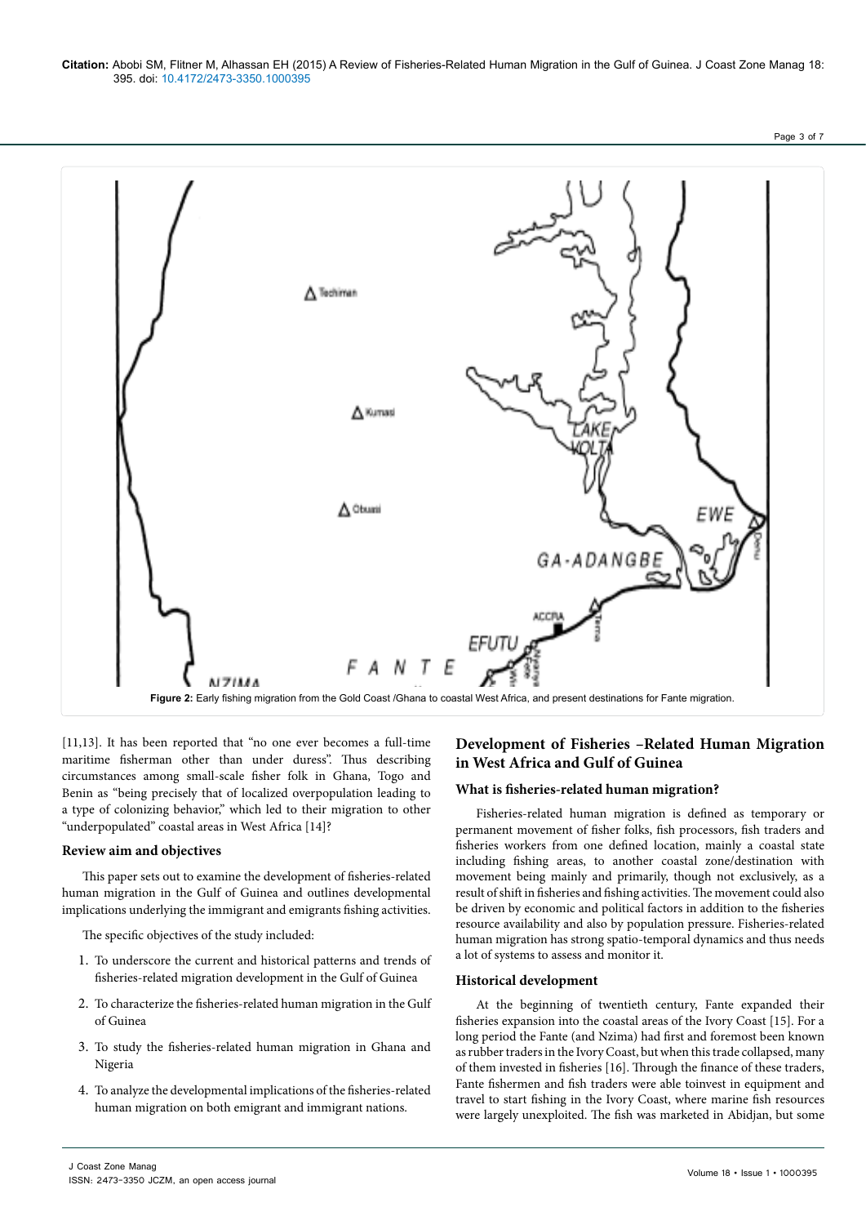**Citation:** Abobi SM, Flitner M, Alhassan EH (2015) A Review of Fisheries-Related Human Migration in the Gulf of Guinea. J Coast Zone Manag 18: 395. doi: [10.4172/2473-3350.100039](http://dx.doi.org/10.4172/2473-3350.1000395)5

Page 3 of 7



[11,13]. It has been reported that "no one ever becomes a full-time" maritime fisherman other than under duress". Thus describing circumstances among small-scale fisher folk in Ghana, Togo and Benin as "being precisely that of localized overpopulation leading to a type of colonizing behavior," which led to their migration to other "underpopulated" coastal areas in West Africa [14]?

## **Review aim and objectives**

This paper sets out to examine the development of fisheries-related human migration in the Gulf of Guinea and outlines developmental implications underlying the immigrant and emigrants fishing activities.

The specific objectives of the study included:

- 1. To underscore the current and historical patterns and trends of fisheries-related migration development in the Gulf of Guinea
- 2. To characterize the fisheries-related human migration in the Gulf of Guinea
- 3. To study the fisheries-related human migration in Ghana and Nigeria
- 4. To analyze the developmental implications of the fisheries-related human migration on both emigrant and immigrant nations.

# **Development of Fisheries –Related Human Migration in West Africa and Gulf of Guinea**

## **What is fisheries-related human migration?**

Fisheries-related human migration is defined as temporary or permanent movement of fisher folks, fish processors, fish traders and fisheries workers from one defined location, mainly a coastal state including fishing areas, to another coastal zone/destination with movement being mainly and primarily, though not exclusively, as a result of shift in fisheries and fishing activities. The movement could also be driven by economic and political factors in addition to the fisheries resource availability and also by population pressure. Fisheries-related human migration has strong spatio-temporal dynamics and thus needs a lot of systems to assess and monitor it.

#### **Historical development**

At the beginning of twentieth century, Fante expanded their fisheries expansion into the coastal areas of the Ivory Coast [15]. For a long period the Fante (and Nzima) had first and foremost been known as rubber traders in the Ivory Coast, but when this trade collapsed, many of them invested in fisheries [16]. Through the finance of these traders, Fante fishermen and fish traders were able toinvest in equipment and travel to start fishing in the Ivory Coast, where marine fish resources were largely unexploited. The fish was marketed in Abidjan, but some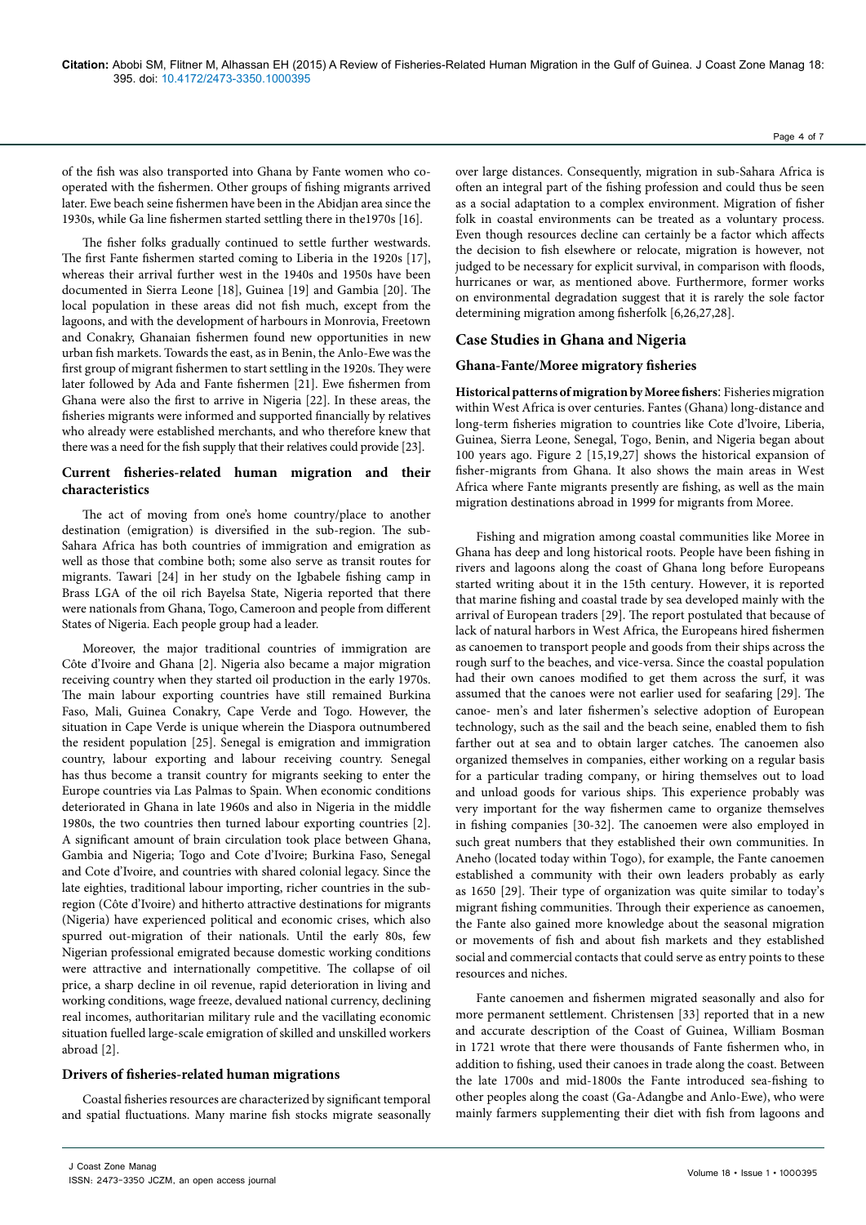of the fish was also transported into Ghana by Fante women who cooperated with the fishermen. Other groups of fishing migrants arrived later. Ewe beach seine fishermen have been in the Abidjan area since the 1930s, while Ga line fishermen started settling there in the1970s [16].

The fisher folks gradually continued to settle further westwards. The first Fante fishermen started coming to Liberia in the 1920s [17], whereas their arrival further west in the 1940s and 1950s have been documented in Sierra Leone [18], Guinea [19] and Gambia [20]. The local population in these areas did not fish much, except from the lagoons, and with the development of harbours in Monrovia, Freetown and Conakry, Ghanaian fishermen found new opportunities in new urban fish markets. Towards the east, as in Benin, the Anlo-Ewe was the first group of migrant fishermen to start settling in the 1920s. They were later followed by Ada and Fante fishermen [21]. Ewe fishermen from Ghana were also the first to arrive in Nigeria [22]. In these areas, the fisheries migrants were informed and supported financially by relatives who already were established merchants, and who therefore knew that there was a need for the fish supply that their relatives could provide [23].

## **Current fisheries-related human migration and their characteristics**

The act of moving from one's home country/place to another destination (emigration) is diversified in the sub-region. The sub-Sahara Africa has both countries of immigration and emigration as well as those that combine both; some also serve as transit routes for migrants. Tawari [24] in her study on the Igbabele fishing camp in Brass LGA of the oil rich Bayelsa State, Nigeria reported that there were nationals from Ghana, Togo, Cameroon and people from different States of Nigeria. Each people group had a leader.

Moreover, the major traditional countries of immigration are Côte d'Ivoire and Ghana [2]. Nigeria also became a major migration receiving country when they started oil production in the early 1970s. The main labour exporting countries have still remained Burkina Faso, Mali, Guinea Conakry, Cape Verde and Togo. However, the situation in Cape Verde is unique wherein the Diaspora outnumbered the resident population [25]. Senegal is emigration and immigration country, labour exporting and labour receiving country. Senegal has thus become a transit country for migrants seeking to enter the Europe countries via Las Palmas to Spain. When economic conditions deteriorated in Ghana in late 1960s and also in Nigeria in the middle 1980s, the two countries then turned labour exporting countries [2]. A significant amount of brain circulation took place between Ghana, Gambia and Nigeria; Togo and Cote d'Ivoire; Burkina Faso, Senegal and Cote d'Ivoire, and countries with shared colonial legacy. Since the late eighties, traditional labour importing, richer countries in the subregion (Côte d'Ivoire) and hitherto attractive destinations for migrants (Nigeria) have experienced political and economic crises, which also spurred out-migration of their nationals. Until the early 80s, few Nigerian professional emigrated because domestic working conditions were attractive and internationally competitive. The collapse of oil price, a sharp decline in oil revenue, rapid deterioration in living and working conditions, wage freeze, devalued national currency, declining real incomes, authoritarian military rule and the vacillating economic situation fuelled large-scale emigration of skilled and unskilled workers abroad [2].

## **Drivers of fisheries-related human migrations**

Coastal fisheries resources are characterized by significant temporal and spatial fluctuations. Many marine fish stocks migrate seasonally

over large distances. Consequently, migration in sub-Sahara Africa is often an integral part of the fishing profession and could thus be seen as a social adaptation to a complex environment. Migration of fisher folk in coastal environments can be treated as a voluntary process. Even though resources decline can certainly be a factor which affects the decision to fish elsewhere or relocate, migration is however, not judged to be necessary for explicit survival, in comparison with floods, hurricanes or war, as mentioned above. Furthermore, former works on environmental degradation suggest that it is rarely the sole factor determining migration among fisherfolk [6,26,27,28].

# **Case Studies in Ghana and Nigeria**

## **Ghana-Fante/Moree migratory fisheries**

**Historical patterns of migration by Moree fishers**: Fisheries migration within West Africa is over centuries. Fantes (Ghana) long-distance and long-term fisheries migration to countries like Cote d'lvoire, Liberia, Guinea, Sierra Leone, Senegal, Togo, Benin, and Nigeria began about 100 years ago. Figure 2 [15,19,27] shows the historical expansion of fisher-migrants from Ghana. It also shows the main areas in West Africa where Fante migrants presently are fishing, as well as the main migration destinations abroad in 1999 for migrants from Moree.

Fishing and migration among coastal communities like Moree in Ghana has deep and long historical roots. People have been fishing in rivers and lagoons along the coast of Ghana long before Europeans started writing about it in the 15th century. However, it is reported that marine fishing and coastal trade by sea developed mainly with the arrival of European traders [29]. The report postulated that because of lack of natural harbors in West Africa, the Europeans hired fishermen as canoemen to transport people and goods from their ships across the rough surf to the beaches, and vice-versa. Since the coastal population had their own canoes modified to get them across the surf, it was assumed that the canoes were not earlier used for seafaring [29]. The canoe- men's and later fishermen's selective adoption of European technology, such as the sail and the beach seine, enabled them to fish farther out at sea and to obtain larger catches. The canoemen also organized themselves in companies, either working on a regular basis for a particular trading company, or hiring themselves out to load and unload goods for various ships. This experience probably was very important for the way fishermen came to organize themselves in fishing companies [30-32]. The canoemen were also employed in such great numbers that they established their own communities. In Aneho (located today within Togo), for example, the Fante canoemen established a community with their own leaders probably as early as 1650 [29]. Their type of organization was quite similar to today's migrant fishing communities. Through their experience as canoemen, the Fante also gained more knowledge about the seasonal migration or movements of fish and about fish markets and they established social and commercial contacts that could serve as entry points to these resources and niches.

Fante canoemen and fishermen migrated seasonally and also for more permanent settlement. Christensen [33] reported that in a new and accurate description of the Coast of Guinea, William Bosman in 1721 wrote that there were thousands of Fante fishermen who, in addition to fishing, used their canoes in trade along the coast. Between the late 1700s and mid-1800s the Fante introduced sea-fishing to other peoples along the coast (Ga-Adangbe and Anlo-Ewe), who were mainly farmers supplementing their diet with fish from lagoons and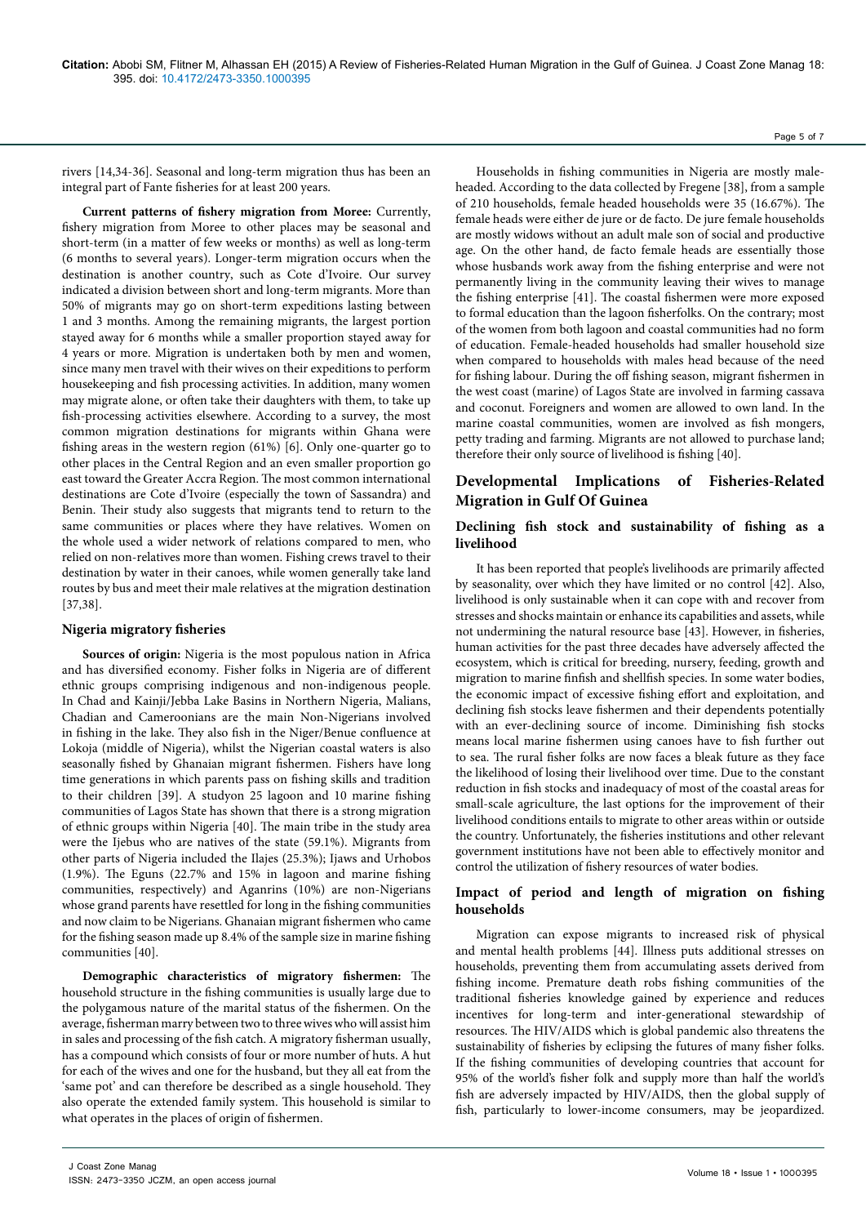rivers [14,34-36]. Seasonal and long-term migration thus has been an integral part of Fante fisheries for at least 200 years.

**Current patterns of fishery migration from Moree:** Currently, fishery migration from Moree to other places may be seasonal and short-term (in a matter of few weeks or months) as well as long-term (6 months to several years). Longer-term migration occurs when the destination is another country, such as Cote d'Ivoire. Our survey indicated a division between short and long-term migrants. More than 50% of migrants may go on short-term expeditions lasting between 1 and 3 months. Among the remaining migrants, the largest portion stayed away for 6 months while a smaller proportion stayed away for 4 years or more. Migration is undertaken both by men and women, since many men travel with their wives on their expeditions to perform housekeeping and fish processing activities. In addition, many women may migrate alone, or often take their daughters with them, to take up fish-processing activities elsewhere. According to a survey, the most common migration destinations for migrants within Ghana were fishing areas in the western region (61%) [6]. Only one-quarter go to other places in the Central Region and an even smaller proportion go east toward the Greater Accra Region. The most common international destinations are Cote d'Ivoire (especially the town of Sassandra) and Benin. Their study also suggests that migrants tend to return to the same communities or places where they have relatives. Women on the whole used a wider network of relations compared to men, who relied on non-relatives more than women. Fishing crews travel to their destination by water in their canoes, while women generally take land routes by bus and meet their male relatives at the migration destination [37,38].

# **Nigeria migratory fisheries**

**Sources of origin:** Nigeria is the most populous nation in Africa and has diversified economy. Fisher folks in Nigeria are of different ethnic groups comprising indigenous and non-indigenous people. In Chad and Kainji/Jebba Lake Basins in Northern Nigeria, Malians, Chadian and Cameroonians are the main Non-Nigerians involved in fishing in the lake. They also fish in the Niger/Benue confluence at Lokoja (middle of Nigeria), whilst the Nigerian coastal waters is also seasonally fished by Ghanaian migrant fishermen. Fishers have long time generations in which parents pass on fishing skills and tradition to their children [39]. A studyon 25 lagoon and 10 marine fishing communities of Lagos State has shown that there is a strong migration of ethnic groups within Nigeria [40]. The main tribe in the study area were the Ijebus who are natives of the state (59.1%). Migrants from other parts of Nigeria included the Ilajes (25.3%); Ijaws and Urhobos (1.9%). The Eguns (22.7% and 15% in lagoon and marine fishing communities, respectively) and Aganrins (10%) are non-Nigerians whose grand parents have resettled for long in the fishing communities and now claim to be Nigerians. Ghanaian migrant fishermen who came for the fishing season made up 8.4% of the sample size in marine fishing communities [40].

**Demographic characteristics of migratory fishermen:** The household structure in the fishing communities is usually large due to the polygamous nature of the marital status of the fishermen. On the average, fisherman marry between two to three wives who will assist him in sales and processing of the fish catch. A migratory fisherman usually, has a compound which consists of four or more number of huts. A hut for each of the wives and one for the husband, but they all eat from the 'same pot' and can therefore be described as a single household. They also operate the extended family system. This household is similar to what operates in the places of origin of fishermen.

Households in fishing communities in Nigeria are mostly maleheaded. According to the data collected by Fregene [38], from a sample of 210 households, female headed households were 35 (16.67%). The female heads were either de jure or de facto. De jure female households are mostly widows without an adult male son of social and productive age. On the other hand, de facto female heads are essentially those whose husbands work away from the fishing enterprise and were not permanently living in the community leaving their wives to manage the fishing enterprise [41]. The coastal fishermen were more exposed to formal education than the lagoon fisherfolks. On the contrary; most of the women from both lagoon and coastal communities had no form of education. Female-headed households had smaller household size when compared to households with males head because of the need for fishing labour. During the off fishing season, migrant fishermen in the west coast (marine) of Lagos State are involved in farming cassava and coconut. Foreigners and women are allowed to own land. In the marine coastal communities, women are involved as fish mongers, petty trading and farming. Migrants are not allowed to purchase land; therefore their only source of livelihood is fishing [40].

# **Developmental Implications of Fisheries-Related Migration in Gulf Of Guinea**

## **Declining fish stock and sustainability of fishing as a livelihood**

It has been reported that people's livelihoods are primarily affected by seasonality, over which they have limited or no control [42]. Also, livelihood is only sustainable when it can cope with and recover from stresses and shocks maintain or enhance its capabilities and assets, while not undermining the natural resource base [43]. However, in fisheries, human activities for the past three decades have adversely affected the ecosystem, which is critical for breeding, nursery, feeding, growth and migration to marine finfish and shellfish species. In some water bodies, the economic impact of excessive fishing effort and exploitation, and declining fish stocks leave fishermen and their dependents potentially with an ever-declining source of income. Diminishing fish stocks means local marine fishermen using canoes have to fish further out to sea. The rural fisher folks are now faces a bleak future as they face the likelihood of losing their livelihood over time. Due to the constant reduction in fish stocks and inadequacy of most of the coastal areas for small-scale agriculture, the last options for the improvement of their livelihood conditions entails to migrate to other areas within or outside the country. Unfortunately, the fisheries institutions and other relevant government institutions have not been able to effectively monitor and control the utilization of fishery resources of water bodies.

## **Impact of period and length of migration on fishing households**

Migration can expose migrants to increased risk of physical and mental health problems [44]. Illness puts additional stresses on households, preventing them from accumulating assets derived from fishing income. Premature death robs fishing communities of the traditional fisheries knowledge gained by experience and reduces incentives for long-term and inter-generational stewardship of resources. The HIV/AIDS which is global pandemic also threatens the sustainability of fisheries by eclipsing the futures of many fisher folks. If the fishing communities of developing countries that account for 95% of the world's fisher folk and supply more than half the world's fish are adversely impacted by HIV/AIDS, then the global supply of fish, particularly to lower-income consumers, may be jeopardized.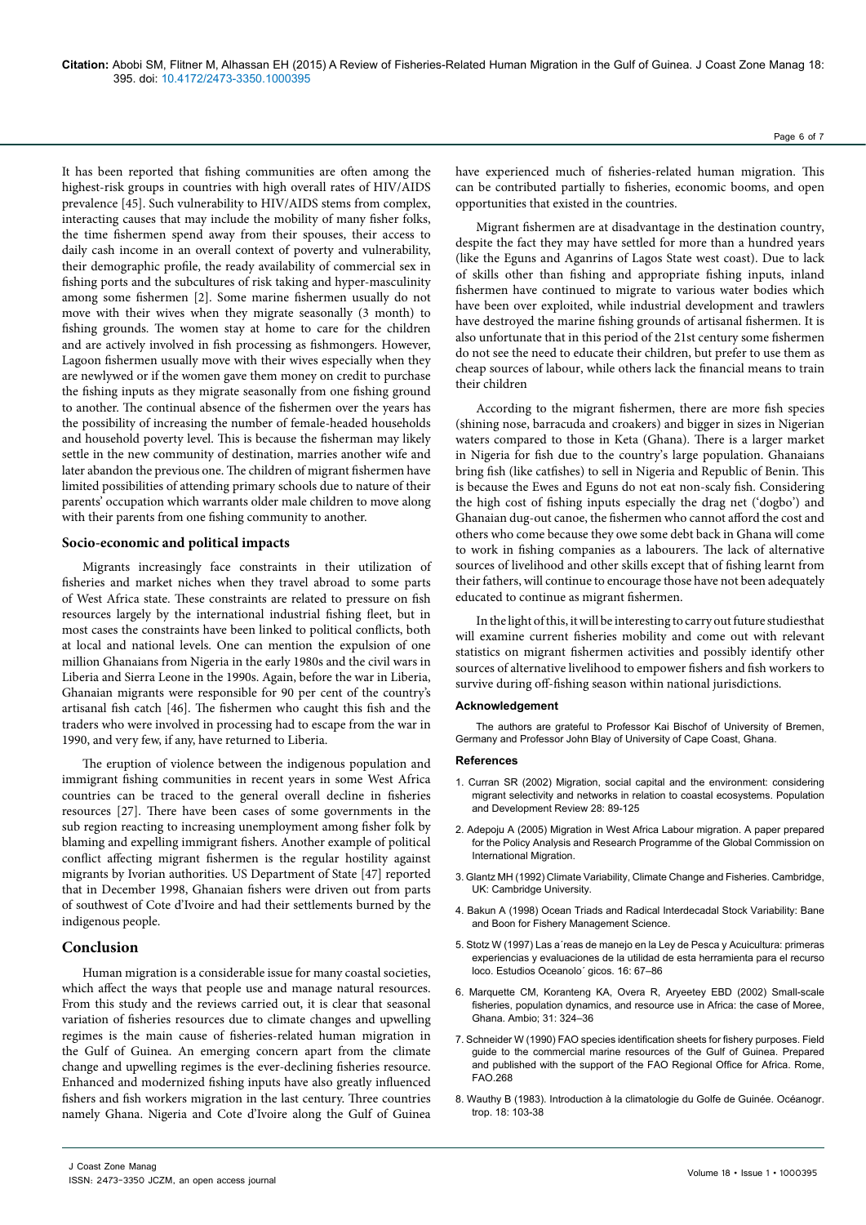It has been reported that fishing communities are often among the highest-risk groups in countries with high overall rates of HIV/AIDS prevalence [45]. Such vulnerability to HIV/AIDS stems from complex, interacting causes that may include the mobility of many fisher folks, the time fishermen spend away from their spouses, their access to daily cash income in an overall context of poverty and vulnerability, their demographic profile, the ready availability of commercial sex in fishing ports and the subcultures of risk taking and hyper-masculinity among some fishermen [2]. Some marine fishermen usually do not move with their wives when they migrate seasonally (3 month) to fishing grounds. The women stay at home to care for the children and are actively involved in fish processing as fishmongers. However, Lagoon fishermen usually move with their wives especially when they are newlywed or if the women gave them money on credit to purchase the fishing inputs as they migrate seasonally from one fishing ground to another. The continual absence of the fishermen over the years has the possibility of increasing the number of female-headed households and household poverty level. This is because the fisherman may likely settle in the new community of destination, marries another wife and later abandon the previous one. The children of migrant fishermen have limited possibilities of attending primary schools due to nature of their parents' occupation which warrants older male children to move along with their parents from one fishing community to another.

#### **Socio-economic and political impacts**

Migrants increasingly face constraints in their utilization of fisheries and market niches when they travel abroad to some parts of West Africa state. These constraints are related to pressure on fish resources largely by the international industrial fishing fleet, but in most cases the constraints have been linked to political conflicts, both at local and national levels. One can mention the expulsion of one million Ghanaians from Nigeria in the early 1980s and the civil wars in Liberia and Sierra Leone in the 1990s. Again, before the war in Liberia, Ghanaian migrants were responsible for 90 per cent of the country's artisanal fish catch [46]. The fishermen who caught this fish and the traders who were involved in processing had to escape from the war in 1990, and very few, if any, have returned to Liberia.

The eruption of violence between the indigenous population and immigrant fishing communities in recent years in some West Africa countries can be traced to the general overall decline in fisheries resources [27]. There have been cases of some governments in the sub region reacting to increasing unemployment among fisher folk by blaming and expelling immigrant fishers. Another example of political conflict affecting migrant fishermen is the regular hostility against migrants by Ivorian authorities. US Department of State [47] reported that in December 1998, Ghanaian fishers were driven out from parts of southwest of Cote d'Ivoire and had their settlements burned by the indigenous people.

# **Conclusion**

Human migration is a considerable issue for many coastal societies, which affect the ways that people use and manage natural resources. From this study and the reviews carried out, it is clear that seasonal variation of fisheries resources due to climate changes and upwelling regimes is the main cause of fisheries-related human migration in the Gulf of Guinea. An emerging concern apart from the climate change and upwelling regimes is the ever-declining fisheries resource. Enhanced and modernized fishing inputs have also greatly influenced fishers and fish workers migration in the last century. Three countries namely Ghana. Nigeria and Cote d'Ivoire along the Gulf of Guinea

Page 6 of 7

have experienced much of fisheries-related human migration. This can be contributed partially to fisheries, economic booms, and open opportunities that existed in the countries.

Migrant fishermen are at disadvantage in the destination country, despite the fact they may have settled for more than a hundred years (like the Eguns and Aganrins of Lagos State west coast). Due to lack of skills other than fishing and appropriate fishing inputs, inland fishermen have continued to migrate to various water bodies which have been over exploited, while industrial development and trawlers have destroyed the marine fishing grounds of artisanal fishermen. It is also unfortunate that in this period of the 21st century some fishermen do not see the need to educate their children, but prefer to use them as cheap sources of labour, while others lack the financial means to train their children

According to the migrant fishermen, there are more fish species (shining nose, barracuda and croakers) and bigger in sizes in Nigerian waters compared to those in Keta (Ghana). There is a larger market in Nigeria for fish due to the country's large population. Ghanaians bring fish (like catfishes) to sell in Nigeria and Republic of Benin. This is because the Ewes and Eguns do not eat non-scaly fish. Considering the high cost of fishing inputs especially the drag net ('dogbo') and Ghanaian dug-out canoe, the fishermen who cannot afford the cost and others who come because they owe some debt back in Ghana will come to work in fishing companies as a labourers. The lack of alternative sources of livelihood and other skills except that of fishing learnt from their fathers, will continue to encourage those have not been adequately educated to continue as migrant fishermen.

In the light of this, it will be interesting to carry out future studiesthat will examine current fisheries mobility and come out with relevant statistics on migrant fishermen activities and possibly identify other sources of alternative livelihood to empower fishers and fish workers to survive during off-fishing season within national jurisdictions.

#### **Acknowledgement**

The authors are grateful to Professor Kai Bischof of University of Bremen, Germany and Professor John Blay of University of Cape Coast, Ghana.

#### **References**

- [1. Curran SR \(2002\) Migration, social capital and the environment: considering](mailto:http://www.jstor.org/discover/10.2307/3115269?sid=21105609381783&uid=2&uid=3738256&uid=4)  [migrant selectivity and networks in relation to coastal ecosystems. Population](mailto:http://www.jstor.org/discover/10.2307/3115269?sid=21105609381783&uid=2&uid=3738256&uid=4)  [and Development Review 28:](mailto:http://www.jstor.org/discover/10.2307/3115269?sid=21105609381783&uid=2&uid=3738256&uid=4) 89-125
- 2. Adepoju A (2005) Migration in West Africa Labour migration. A paper prepared for the Policy Analysis and Research Programme of the Global Commission on International Migration.
- [3. Glantz MH \(1992\) Climate Variability, Climate Change and Fisheries. Cambridge,](mailto:http://www.cambridge.org/us/academic/subjects/life-sciences/natural-resource-management-agriculture-horticulture-and/climate-variability-climate-change-and-fisheries)  [UK: Cambridge University.](mailto:http://www.cambridge.org/us/academic/subjects/life-sciences/natural-resource-management-agriculture-horticulture-and/climate-variability-climate-change-and-fisheries)
- [4. Bakun A \(1998\) Ocean Triads and Radical Interdecadal Stock Variability: Bane](mailto:http://link.springer.com/chapter/10.1007%2F978-94-011-4433-9_25)  [and Boon for Fishery Management Science.](mailto:http://link.springer.com/chapter/10.1007%2F978-94-011-4433-9_25)
- [5. Stotz W \(1997\) Las a´reas de manejo en la Ley de Pesca y Acuicultura: primeras](mailto:http://www.confepach.cl/xpdinam/db/archivos/1339094101/1339094150/AMERBS-en-la-LEY-DE-PESCA-Y-ACUICULTURA.-UTILIDAD-para-el-LOCO-STOTZ-1997.pdf)  [experiencias y evaluaciones de la utilidad de esta herramienta para el recurso](mailto:http://www.confepach.cl/xpdinam/db/archivos/1339094101/1339094150/AMERBS-en-la-LEY-DE-PESCA-Y-ACUICULTURA.-UTILIDAD-para-el-LOCO-STOTZ-1997.pdf)  [loco. Estudios Oceanolo´ gicos. 16: 67–86](mailto:http://www.confepach.cl/xpdinam/db/archivos/1339094101/1339094150/AMERBS-en-la-LEY-DE-PESCA-Y-ACUICULTURA.-UTILIDAD-para-el-LOCO-STOTZ-1997.pdf)
- [6. Marquette CM, Koranteng KA, Overa R, Aryeetey EBD \(2002\) Small-scale](mailto:http://www.cmi.no/publications/publication/?805=small-scale-fisheries)  [fisheries, population dynamics, and resource use in Africa: the case of Moree,](mailto:http://www.cmi.no/publications/publication/?805=small-scale-fisheries)  [Ghana. Ambio; 31:](mailto:http://www.cmi.no/publications/publication/?805=small-scale-fisheries) 324–36
- [7. Schneider W \(1990\) FAO species identification sheets for fishery purposes. Field](mailto:http://www.fao.org/docrep/009/ad468e/ad468e00.htm)  [guide to the commercial marine resources of the Gulf of Guinea. Prepared](mailto:http://www.fao.org/docrep/009/ad468e/ad468e00.htm)  [and published with the support of the FAO Regional Office for Africa. Rome,](mailto:http://www.fao.org/docrep/009/ad468e/ad468e00.htm)  [FAO.268](mailto:http://www.fao.org/docrep/009/ad468e/ad468e00.htm)
- [8. Wauthy B \(1983\). Introduction à la climatologie du Golfe de Guinée. Océanogr.](mailto:http://horizon.documentation.ird.fr/exl-doc/pleins_textes/cahiers/ocea_tro/15469.pdf) [trop. 18:](mailto:http://horizon.documentation.ird.fr/exl-doc/pleins_textes/cahiers/ocea_tro/15469.pdf) 103-38